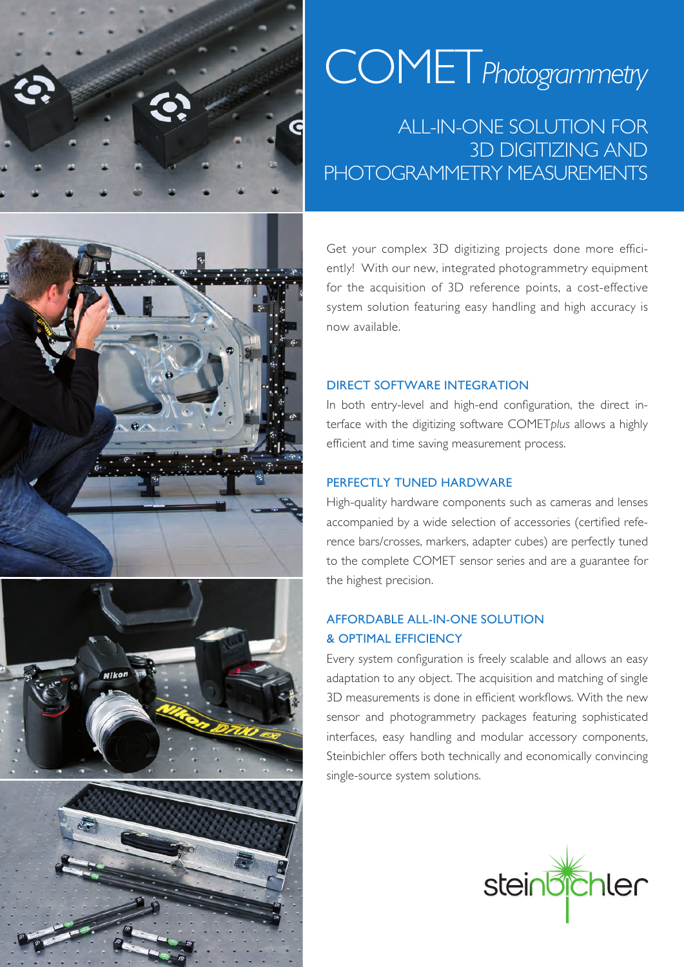







# COMET*Photogrammetry*

## ALL-IN-ONE SOLUTION FOR 3D DIGITIZING AND PHOTOGRAMMETRY MEASUREMENTS

Get your complex 3D digitizing projects done more efficiently! With our new, integrated photogrammetry equipment for the acquisition of 3D reference points, a cost-effective system solution featuring easy handling and high accuracy is now available.

#### DIRECT SOFTWARE INTEGRATION

In both entry-level and high-end configuration, the direct interface with the digitizing software COMET*plus* allows a highly efficient and time saving measurement process.

#### PERFECTLY TUNED HARDWARE

High-quality hardware components such as cameras and lenses accompanied by a wide selection of accessories (certified reference bars/crosses, markers, adapter cubes) are perfectly tuned to the complete COMET sensor series and are a guarantee for the highest precision.

### AFFORDABLE ALL-IN-ONE SOLUTION & OPTIMAL EFFICIENCY

Every system configuration is freely scalable and allows an easy adaptation to any object. The acquisition and matching of single 3D measurements is done in efficient workflows. With the new sensor and photogrammetry packages featuring sophisticated interfaces, easy handling and modular accessory components, Steinbichler offers both technically and economically convincing single-source system solutions.